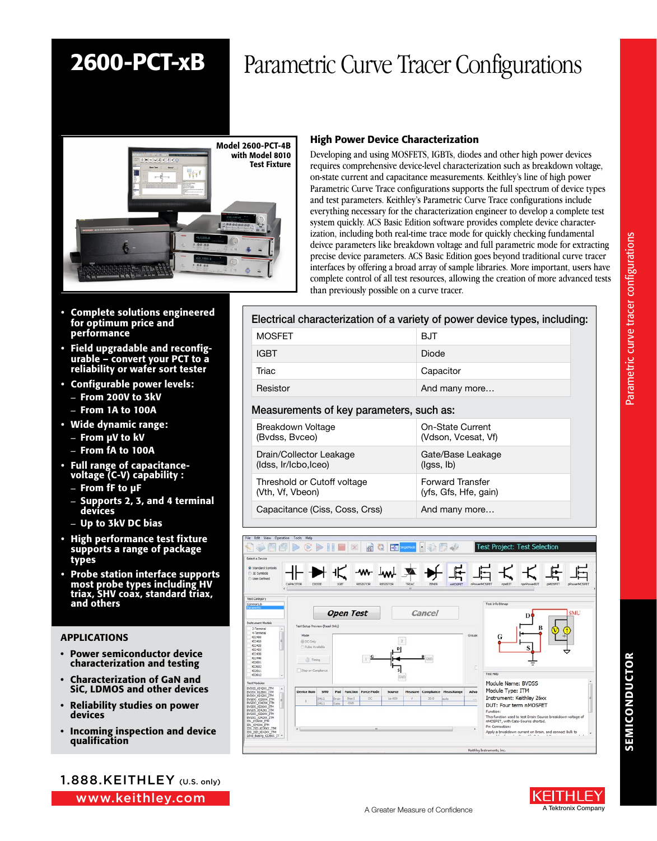## 2600-PCT-xB Parametric Curve Tracer Configurations



### High Power Device Characterization

Developing and using MOSFETS, IGBTs, diodes and other high power devices requires comprehensive device-level characterization such as breakdown voltage, on-state current and capacitance measurements. Keithley's line of high power Parametric Curve Trace configurations supports the full spectrum of device types and test parameters. Keithley's Parametric Curve Trace configurations include everything necessary for the characterization engineer to develop a complete test system quickly. ACS Basic Edition software provides complete device characterization, including both real-time trace mode for quickly checking fundamental deivce parameters like breakdown voltage and full parametric mode for extracting precise device parameters. ACS Basic Edition goes beyond traditional curve tracer interfaces by offering a broad array of sample libraries. More important, users have complete control of all test resources, allowing the creation of more advanced tests than previously possible on a curve tracer.

- Complete solutions engineered for optimum price and performance
- Field upgradable and reconfigurable – convert your PCT to a reliability or wafer sort tester
- Configurable power levels: – From 200V to 3kV
	- From 1A to 100A
- Wide dynamic range:
	- From µV to kV
	- From fA to 100A
- Full range of capacitancevoltage (C-V) capability :
	- From fF to µF
	- Supports 2, 3, and 4 terminal devices
	- Up to 3kV DC bias
- High performance test fixture supports a range of package types
- Probe station interface supports most probe types including HV triax, SHV coax, standard triax, and others

#### APPLICATIONS

- Power semiconductor device characterization and testing
- Characterization of GaN and SiC, LDMOS and other devices
- Reliability studies on power devices
- Incoming inspection and device qualification

1.888.KEITHLEY (U.S. only)

www.keithley.com

### Electrical characterization of a variety of power device types, including:

| <b>MOSFET</b>                            | BJT           |  |
|------------------------------------------|---------------|--|
| <b>IGBT</b>                              | Diode         |  |
| Triac                                    | Capacitor     |  |
| Resistor                                 | And many more |  |
| Measurements of key parameters, such as: |               |  |
| Breakdown Voltage                        |               |  |

| Drain/Collector Leakage        | Gate/Base Leakage              |
|--------------------------------|--------------------------------|
| (Idss, Ir/Icbo, Iceo)          | $(\mathsf{lass}, \mathsf{lb})$ |
| Threshold or Cutoff voltage    | <b>Forward Transfer</b>        |
| (Vth, Vf, Vbeon)               | (yfs, Gfs, Hfe, gain)          |
| Capacitance (Ciss, Coss, Crss) | And many more                  |



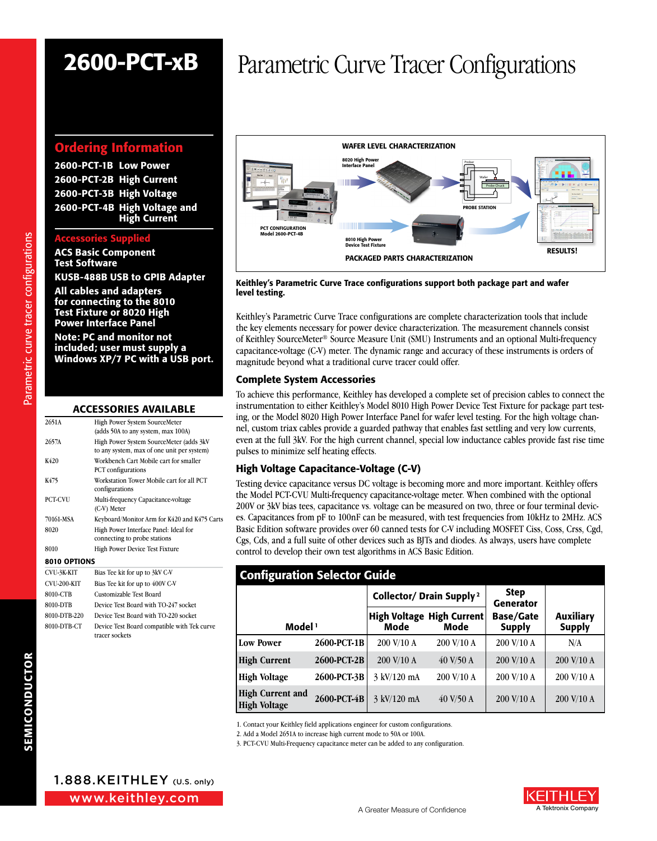### Ordering Information

2600-PCT-1B Low Power 2600-PCT-2B High Current 2600-PCT-3B High Voltage 2600-PCT-4B High Voltage and High Current

#### ccessories Sui

ACS Basic Component Test Software KUSB-488B USB to GPIB Adapter

All cables and adapters for connecting to the 8010 Test Fixture or 8020 High Power Interface Panel

Note: PC and monitor not included; user must supply a Windows XP/7 PC with a USB port.

| <b>ACCESSORIES AVAILABLE</b> |  |
|------------------------------|--|
|------------------------------|--|

| CVU-3K-KIT     | Bias Tee kit for up to 3kV C-V                                                        |  |  |
|----------------|---------------------------------------------------------------------------------------|--|--|
| 8010 OPTIONS   |                                                                                       |  |  |
| 8010           | High Power Device Test Fixture                                                        |  |  |
| 8020           | High Power Interface Panel: Ideal for<br>connecting to probe stations                 |  |  |
| 70161-MSA      | Keyboard/Monitor Arm for K420 and K475 Carts                                          |  |  |
| <b>PCT-CVU</b> | Multi-frequency Capacitance-voltage<br>(C-V) Meter                                    |  |  |
| K475           | Workstation Tower Mobile cart for all PCT<br>configurations                           |  |  |
| K420           | Workbench Cart Mobile cart for smaller<br><b>PCT</b> configurations                   |  |  |
| 2657A          | High Power System SourceMeter (adds 3kV<br>to any system, max of one unit per system) |  |  |
| 2651A          | High Power System SourceMeter<br>(adds 50A to any system, max 100A)                   |  |  |

| ∪ ≀ ∪∹ <i>ji</i> v in i | $Dias$ Technical dip to $JAV$ G-1                             |
|-------------------------|---------------------------------------------------------------|
| CVU-200-KIT             | Bias Tee kit for up to 400V C-V                               |
| 8010-CTB                | Customizable Test Board                                       |
| 8010-DTB                | Device Test Board with TO-247 socket                          |
| 8010-DTB-220            | Device Test Board with TO-220 socket                          |
| 8010-DTB-CT             | Device Test Board compatible with Tek curve<br>tracer sockets |
|                         |                                                               |

# 2600-PCT-xB Parametric Curve Tracer Configurations



Keithley's Parametric Curve Trace configurations support both package part and wafer level testing.

Keithley's Parametric Curve Trace configurations are complete characterization tools that include the key elements necessary for power device characterization. The measurement channels consist of Keithley SourceMeter® Source Measure Unit (SMU) Instruments and an optional Multi-frequency capacitance-voltage (C-V) meter. The dynamic range and accuracy of these instruments is orders of magnitude beyond what a traditional curve tracer could offer.

#### Complete System Accessories

To achieve this performance, Keithley has developed a complete set of precision cables to connect the instrumentation to either Keithley's Model 8010 High Power Device Test Fixture for package part testing, or the Model 8020 High Power Interface Panel for wafer level testing. For the high voltage channel, custom triax cables provide a guarded pathway that enables fast settling and very low currents, even at the full 3kV. For the high current channel, special low inductance cables provide fast rise time pulses to minimize self heating effects.

#### High Voltage Capacitance-Voltage (C-V)

Testing device capacitance versus DC voltage is becoming more and more important. Keithley offers the Model PCT-CVU Multi-frequency capacitance-voltage meter. When combined with the optional 200V or 3kV bias tees, capacitance vs. voltage can be measured on two, three or four terminal devices. Capacitances from pF to 100nF can be measured, with test frequencies from 10kHz to 2MHz. ACS Basic Edition software provides over 60 canned tests for C-V including MOSFET Ciss, Coss, Crss, Cgd, Cgs, Cds, and a full suite of other devices such as BJTs and diodes. As always, users have complete control to develop their own test algorithms in ACS Basic Edition.

| <b>Configuration Selector Guide</b>            |             |                                      |                                          |                                   |                                   |
|------------------------------------------------|-------------|--------------------------------------|------------------------------------------|-----------------------------------|-----------------------------------|
|                                                |             | Collector/ Drain Supply <sup>2</sup> |                                          | <b>Step</b><br><b>Generator</b>   |                                   |
| Model <sup>1</sup>                             |             | Mode                                 | <b>High Voltage High Current</b><br>Mode | <b>Base/Gate</b><br><b>Supply</b> | <b>Auxiliary</b><br><b>Supply</b> |
| <b>Low Power</b>                               | 2600-PCT-1B | 200 V/10 A                           | 200 V/10 A                               | 200 V/10 A                        | N/A                               |
| <b>High Current</b>                            | 2600-PCT-2B | 200 V/10 A                           | $40$ V/50 A                              | 200 V/10 A                        | 200 V/10 A                        |
| <b>High Voltage</b>                            | 2600-PCT-3B | 3 kV/120 mA                          | 200 V/10 A                               | 200 V/10 A                        | 200 V/10 A                        |
| <b>High Current and</b><br><b>High Voltage</b> | 2600-PCT-4B | 3 kV/120 mA                          | $40$ V/50 A                              | 200 V/10 A                        | 200 V/10 A                        |

1. Contact your Keithley field applications engineer for custom configurations.

2. Add a Model 2651A to increase high current mode to 50A or 100A.

3. PCT-CVU Multi-Frequency capacitance meter can be added to any configuration.

Parametric curve tracer configurations Parametric curve tracer configurations

www.keithley.com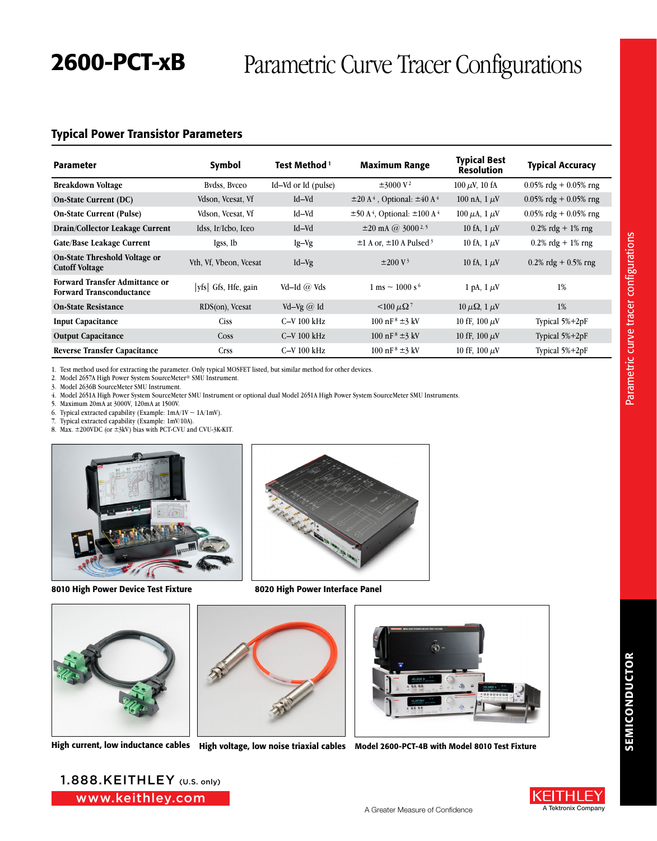## 2600-PCT-xB Parametric Curve Tracer Configurations

### Typical Power Transistor Parameters

| <b>Parameter</b>                                                         | Symbol                 | Test Method 1       | <b>Maximum Range</b>                                         | <b>Typical Best</b><br><b>Resolution</b> | <b>Typical Accuracy</b>  |
|--------------------------------------------------------------------------|------------------------|---------------------|--------------------------------------------------------------|------------------------------------------|--------------------------|
| <b>Breakdown Voltage</b>                                                 | Bydss, Byceo           | Id–Vd or Id (pulse) | $\pm 3000 \text{ V}^2$                                       | $100 \mu V$ , 10 fA                      | $0.05\%$ rdg + 0.05% rng |
| <b>On-State Current (DC)</b>                                             | Vdson, Vcesat, Vf      | Id-Vd               | $\pm 20$ A <sup>4</sup> , Optional: $\pm 40$ A <sup>4</sup>  | 100 nA, $1 \mu V$                        | $0.05\%$ rdg + 0.05% rng |
| <b>On-State Current (Pulse)</b>                                          | Vdson, Vcesat, Vf      | Id-Vd               | $\pm 50$ A <sup>4</sup> , Optional: $\pm 100$ A <sup>4</sup> | 100 $\mu$ A, 1 $\mu$ V                   | $0.05\%$ rdg + 0.05% rng |
| Drain/Collector Leakage Current                                          | Idss, Ir/Icbo, Iceo    | Id-Vd               | $\pm 20$ mA @ 3000 <sup>2,5</sup>                            | 10 fA, $1 \mu V$                         | $0.2\%$ rdg + 1% rng     |
| Gate/Base Leakage Current                                                | Igss, Ib               | $Ig-Vg$             | $\pm$ 1 A or, $\pm$ 10 A Pulsed <sup>3</sup>                 | 10 fA, $1 \mu$ V                         | $0.2\%$ rdg + 1% rng     |
| On-State Threshold Voltage or<br><b>Cutoff Voltage</b>                   | Vth, Vf, Vbeon, Vcesat | $Id-Vg$             | $\pm 200 \text{ V}^3$                                        | 10 fA, $1 \mu V$                         | $0.2\%$ rdg + 0.5% rng   |
| <b>Forward Transfer Admittance or</b><br><b>Forward Transconductance</b> | vfs  Gfs, Hfe, gain    | Vd-Id $\omega$ Vds  | $1 \text{ ms} \sim 1000 \text{ s}^6$                         | 1 pA, $1 \mu V$                          | 1%                       |
| <b>On-State Resistance</b>                                               | RDS(on), Vcesat        | Vd-Vg $@$ Id        | $\leq 100 \mu\Omega$                                         | $10 \mu\Omega$ , $1 \mu$ V               | 1%                       |
| <b>Input Capacitance</b>                                                 | <b>Ciss</b>            | $C-V100$ kHz        | 100 nF <sup>8</sup> $\pm$ 3 kV                               | 10 fF, 100 $\mu$ V                       | Typical 5%+2pF           |
| <b>Output Capacitance</b>                                                | <b>Coss</b>            | $C-V100$ kHz        | 100 nF <sup>8</sup> $\pm$ 3 kV                               | 10 fF, $100 \mu V$                       | Typical 5%+2pF           |
| <b>Reverse Transfer Capacitance</b>                                      | Crss                   | $C-V100$ kHz        | 100 nF <sup>8</sup> $\pm$ 3 kV                               | 10 fF, 100 $\mu$ V                       | Typical 5%+2pF           |

1. Test method used for extracting the parameter. Only typical MOSFET listed, but similar method for other devices.

2. Model 2657A High Power System SourceMeter® SMU Instrument.

3. Model 2636B SourceMeter SMU Instrument.

4. Model 2651A High Power System SourceMeter SMU Instrument or optional dual Model 2651A High Power System SourceMeter SMU Instruments.

5. Maximum 20mA at 3000V, 120mA at 1500V.

6. Typical extracted capability (Example:  $1mA/1V \sim 1A/1mV$ ).

7. Typical extracted capability (Example: 1mV/10A).

8. Max. ±200VDC (or ±3kV) bias with PCT-CVU and CVU-3K-KIT.



8010 High Power Device Test Fixture



8020 High Power Interface Panel



High current, low inductance cables High voltage, low noise triaxial cables Model 2600-PCT-4B with Model 8010 Test Fixture



www.keithley.com 1.888.KEITHLEY (U.S. only)



Parametric curve tracer configurations Parametric curve tracer configurations